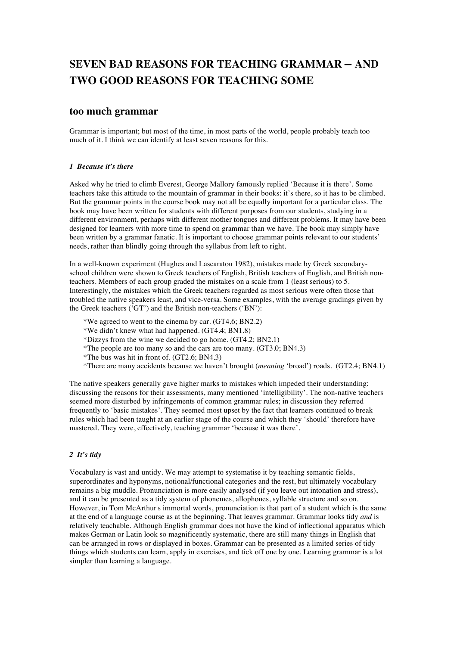# **SEVEN BAD REASONS FOR TEACHING GRAMMAR – AND TWO GOOD REASONS FOR TEACHING SOME**

# **too much grammar**

Grammar is important; but most of the time, in most parts of the world, people probably teach too much of it. I think we can identify at least seven reasons for this.

## *1 Because it's there*

Asked why he tried to climb Everest, George Mallory famously replied 'Because it is there'. Some teachers take this attitude to the mountain of grammar in their books: it's there, so it has to be climbed. But the grammar points in the course book may not all be equally important for a particular class. The book may have been written for students with different purposes from our students, studying in a different environment, perhaps with different mother tongues and different problems. It may have been designed for learners with more time to spend on grammar than we have. The book may simply have been written by a grammar fanatic. It is important to choose grammar points relevant to our students' needs, rather than blindly going through the syllabus from left to right.

In a well-known experiment (Hughes and Lascaratou 1982), mistakes made by Greek secondaryschool children were shown to Greek teachers of English, British teachers of English, and British nonteachers. Members of each group graded the mistakes on a scale from 1 (least serious) to 5. Interestingly, the mistakes which the Greek teachers regarded as most serious were often those that troubled the native speakers least, and vice-versa. Some examples, with the average gradings given by the Greek teachers ('GT') and the British non-teachers ('BN'):

- \*We agreed to went to the cinema by car. (GT4.6; BN2.2)
- \*We didn't knew what had happened. (GT4.4; BN1.8)
- \*Dizzys from the wine we decided to go home. (GT4.2; BN2.1)
- \*The people are too many so and the cars are too many. (GT3.0; BN4.3)
- \*The bus was hit in front of. (GT2.6; BN4.3)
- \*There are many accidents because we haven't brought (*meaning* 'broad') roads. (GT2.4; BN4.1)

The native speakers generally gave higher marks to mistakes which impeded their understanding: discussing the reasons for their assessments, many mentioned 'intelligibility'. The non-native teachers seemed more disturbed by infringements of common grammar rules; in discussion they referred frequently to 'basic mistakes'. They seemed most upset by the fact that learners continued to break rules which had been taught at an earlier stage of the course and which they 'should' therefore have mastered. They were, effectively, teaching grammar 'because it was there'.

### *2 It's tidy*

Vocabulary is vast and untidy. We may attempt to systematise it by teaching semantic fields, superordinates and hyponyms, notional/functional categories and the rest, but ultimately vocabulary remains a big muddle. Pronunciation is more easily analysed (if you leave out intonation and stress), and it can be presented as a tidy system of phonemes, allophones, syllable structure and so on. However, in Tom McArthur's immortal words, pronunciation is that part of a student which is the same at the end of a language course as at the beginning. That leaves grammar. Grammar looks tidy *and* is relatively teachable. Although English grammar does not have the kind of inflectional apparatus which makes German or Latin look so magnificently systematic, there are still many things in English that can be arranged in rows or displayed in boxes. Grammar can be presented as a limited series of tidy things which students can learn, apply in exercises, and tick off one by one. Learning grammar is a lot simpler than learning a language.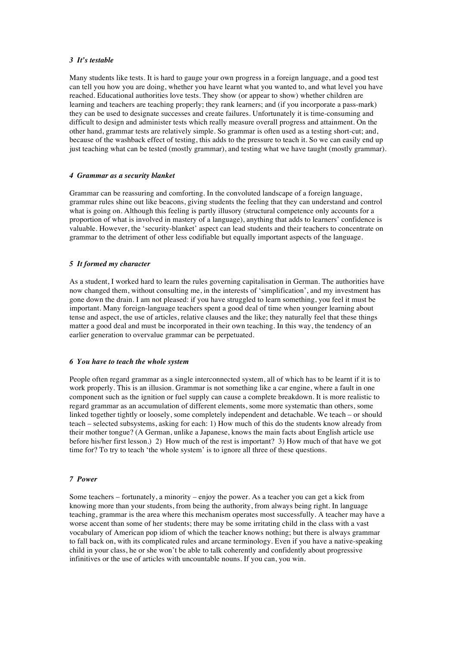### *3 It's testable*

Many students like tests. It is hard to gauge your own progress in a foreign language, and a good test can tell you how you are doing, whether you have learnt what you wanted to, and what level you have reached. Educational authorities love tests. They show (or appear to show) whether children are learning and teachers are teaching properly; they rank learners; and (if you incorporate a pass-mark) they can be used to designate successes and create failures. Unfortunately it is time-consuming and difficult to design and administer tests which really measure overall progress and attainment. On the other hand, grammar tests are relatively simple. So grammar is often used as a testing short-cut; and, because of the washback effect of testing, this adds to the pressure to teach it. So we can easily end up just teaching what can be tested (mostly grammar), and testing what we have taught (mostly grammar).

### *4 Grammar as a security blanket*

Grammar can be reassuring and comforting. In the convoluted landscape of a foreign language, grammar rules shine out like beacons, giving students the feeling that they can understand and control what is going on. Although this feeling is partly illusory (structural competence only accounts for a proportion of what is involved in mastery of a language), anything that adds to learners' confidence is valuable. However, the 'security-blanket' aspect can lead students and their teachers to concentrate on grammar to the detriment of other less codifiable but equally important aspects of the language.

### *5 It formed my character*

As a student, I worked hard to learn the rules governing capitalisation in German. The authorities have now changed them, without consulting me, in the interests of 'simplification', and my investment has gone down the drain. I am not pleased: if you have struggled to learn something, you feel it must be important. Many foreign-language teachers spent a good deal of time when younger learning about tense and aspect, the use of articles, relative clauses and the like; they naturally feel that these things matter a good deal and must be incorporated in their own teaching. In this way, the tendency of an earlier generation to overvalue grammar can be perpetuated.

#### *6 You have to teach the whole system*

People often regard grammar as a single interconnected system, all of which has to be learnt if it is to work properly. This is an illusion. Grammar is not something like a car engine, where a fault in one component such as the ignition or fuel supply can cause a complete breakdown. It is more realistic to regard grammar as an accumulation of different elements, some more systematic than others, some linked together tightly or loosely, some completely independent and detachable. We teach – or should teach – selected subsystems, asking for each: 1) How much of this do the students know already from their mother tongue? (A German, unlike a Japanese, knows the main facts about English article use before his/her first lesson.) 2) How much of the rest is important? 3) How much of that have we got time for? To try to teach 'the whole system' is to ignore all three of these questions.

### *7 Power*

Some teachers – fortunately, a minority – enjoy the power. As a teacher you can get a kick from knowing more than your students, from being the authority, from always being right. In language teaching, grammar is the area where this mechanism operates most successfully. A teacher may have a worse accent than some of her students; there may be some irritating child in the class with a vast vocabulary of American pop idiom of which the teacher knows nothing; but there is always grammar to fall back on, with its complicated rules and arcane terminology. Even if you have a native-speaking child in your class, he or she won't be able to talk coherently and confidently about progressive infinitives or the use of articles with uncountable nouns. If you can, you win.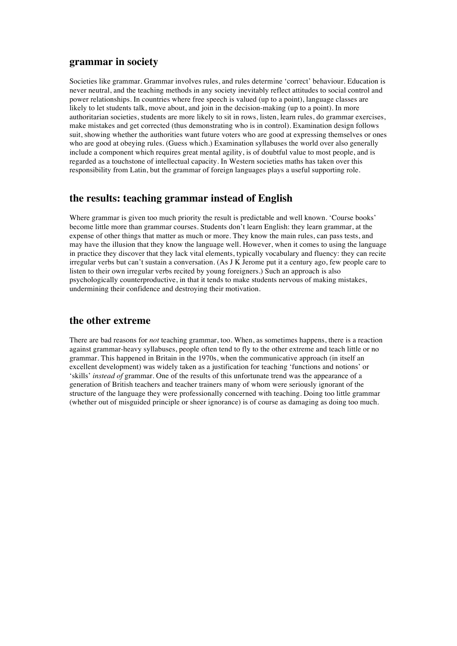# **grammar in society**

Societies like grammar. Grammar involves rules, and rules determine 'correct' behaviour. Education is never neutral, and the teaching methods in any society inevitably reflect attitudes to social control and power relationships. In countries where free speech is valued (up to a point), language classes are likely to let students talk, move about, and join in the decision-making (up to a point). In more authoritarian societies, students are more likely to sit in rows, listen, learn rules, do grammar exercises, make mistakes and get corrected (thus demonstrating who is in control). Examination design follows suit, showing whether the authorities want future voters who are good at expressing themselves or ones who are good at obeying rules. (Guess which.) Examination syllabuses the world over also generally include a component which requires great mental agility, is of doubtful value to most people, and is regarded as a touchstone of intellectual capacity. In Western societies maths has taken over this responsibility from Latin, but the grammar of foreign languages plays a useful supporting role.

# **the results: teaching grammar instead of English**

Where grammar is given too much priority the result is predictable and well known. 'Course books' become little more than grammar courses. Students don't learn English: they learn grammar, at the expense of other things that matter as much or more. They know the main rules, can pass tests, and may have the illusion that they know the language well. However, when it comes to using the language in practice they discover that they lack vital elements, typically vocabulary and fluency: they can recite irregular verbs but can't sustain a conversation. (As J K Jerome put it a century ago, few people care to listen to their own irregular verbs recited by young foreigners.) Such an approach is also psychologically counterproductive, in that it tends to make students nervous of making mistakes, undermining their confidence and destroying their motivation.

# **the other extreme**

There are bad reasons for *not* teaching grammar, too. When, as sometimes happens, there is a reaction against grammar-heavy syllabuses, people often tend to fly to the other extreme and teach little or no grammar. This happened in Britain in the 1970s, when the communicative approach (in itself an excellent development) was widely taken as a justification for teaching 'functions and notions' or 'skills' *instead of* grammar. One of the results of this unfortunate trend was the appearance of a generation of British teachers and teacher trainers many of whom were seriously ignorant of the structure of the language they were professionally concerned with teaching. Doing too little grammar (whether out of misguided principle or sheer ignorance) is of course as damaging as doing too much.